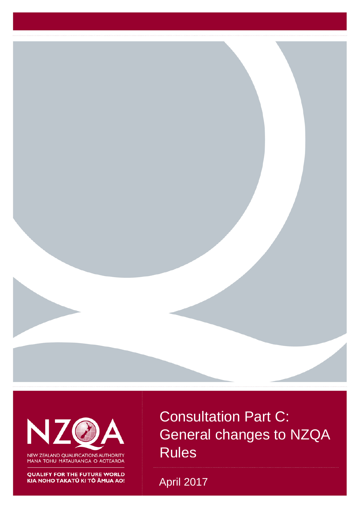

N

NEW ZEALAND QUALIFICATIONS AUTHORITY MANA TOHU MATAURANGA O AOTEAROA

**QUALIFY FOR THE FUTURE WORLD** KIA NOHO TAKATŪ KI TŌ ĀMUA AO! Consultation Part C: General changes to NZQA Rules

April 2017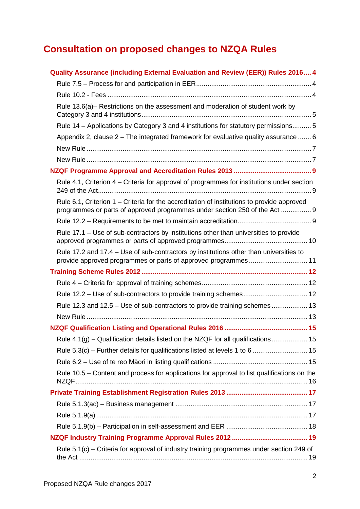# **Consultation on proposed changes to NZQA Rules**

| Quality Assurance (including External Evaluation and Review (EER)) Rules 2016 4                                                                                          |
|--------------------------------------------------------------------------------------------------------------------------------------------------------------------------|
|                                                                                                                                                                          |
|                                                                                                                                                                          |
| Rule 13.6(a)- Restrictions on the assessment and moderation of student work by                                                                                           |
| Rule 14 - Applications by Category 3 and 4 institutions for statutory permissions 5                                                                                      |
| Appendix 2, clause 2 - The integrated framework for evaluative quality assurance  6                                                                                      |
|                                                                                                                                                                          |
|                                                                                                                                                                          |
|                                                                                                                                                                          |
| Rule 4.1, Criterion 4 – Criteria for approval of programmes for institutions under section                                                                               |
| Rule 6.1, Criterion 1 – Criteria for the accreditation of institutions to provide approved<br>programmes or parts of approved programmes under section 250 of the Act  9 |
|                                                                                                                                                                          |
| Rule 17.1 – Use of sub-contractors by institutions other than universities to provide                                                                                    |
| Rule 17.2 and 17.4 – Use of sub-contractors by institutions other than universities to<br>provide approved programmes or parts of approved programmes 11                 |
|                                                                                                                                                                          |
|                                                                                                                                                                          |
|                                                                                                                                                                          |
| Rule 12.3 and 12.5 - Use of sub-contractors to provide training schemes 13                                                                                               |
|                                                                                                                                                                          |
|                                                                                                                                                                          |
| Rule 4.1(g) - Qualification details listed on the NZQF for all qualifications 15                                                                                         |
| Rule 5.3(c) – Further details for qualifications listed at levels 1 to 6  15                                                                                             |
|                                                                                                                                                                          |
| Rule 10.5 – Content and process for applications for approval to list qualifications on the                                                                              |
|                                                                                                                                                                          |
|                                                                                                                                                                          |
|                                                                                                                                                                          |
|                                                                                                                                                                          |
|                                                                                                                                                                          |
| Rule 5.1(c) – Criteria for approval of industry training programmes under section 249 of                                                                                 |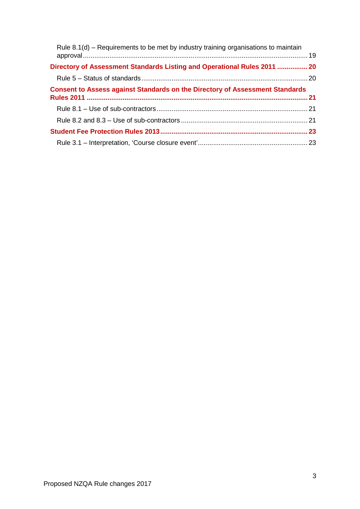| Rule 8.1(d) – Requirements to be met by industry training organisations to maintain |  |
|-------------------------------------------------------------------------------------|--|
| Directory of Assessment Standards Listing and Operational Rules 2011  20            |  |
|                                                                                     |  |
| <b>Consent to Assess against Standards on the Directory of Assessment Standards</b> |  |
|                                                                                     |  |
|                                                                                     |  |
|                                                                                     |  |
|                                                                                     |  |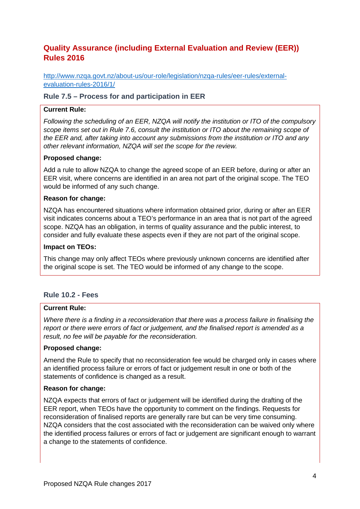# <span id="page-3-0"></span>**Quality Assurance (including External Evaluation and Review (EER)) Rules 2016**

[http://www.nzqa.govt.nz/about-us/our-role/legislation/nzqa-rules/eer-rules/external](http://www.nzqa.govt.nz/about-us/our-role/legislation/nzqa-rules/eer-rules/external-evaluation-rules-2016/1/)[evaluation-rules-2016/1/](http://www.nzqa.govt.nz/about-us/our-role/legislation/nzqa-rules/eer-rules/external-evaluation-rules-2016/1/)

### <span id="page-3-1"></span>**Rule 7.5 – Process for and participation in EER**

### **Current Rule:**

*Following the scheduling of an EER, NZQA will notify the institution or ITO of the compulsory scope items set out in Rule 7.6, consult the institution or ITO about the remaining scope of the EER and, after taking into account any submissions from the institution or ITO and any other relevant information, NZQA will set the scope for the review.* 

### **Proposed change:**

Add a rule to allow NZQA to change the agreed scope of an EER before, during or after an EER visit, where concerns are identified in an area not part of the original scope. The TEO would be informed of any such change.

### **Reason for change:**

NZQA has encountered situations where information obtained prior, during or after an EER visit indicates concerns about a TEO's performance in an area that is not part of the agreed scope. NZQA has an obligation, in terms of quality assurance and the public interest, to consider and fully evaluate these aspects even if they are not part of the original scope.

### **Impact on TEOs:**

This change may only affect TEOs where previously unknown concerns are identified after the original scope is set. The TEO would be informed of any change to the scope.

### <span id="page-3-2"></span>**Rule 10.2 - Fees**

### **Current Rule:**

*Where there is a finding in a reconsideration that there was a process failure in finalising the report or there were errors of fact or judgement, and the finalised report is amended as a result, no fee will be payable for the reconsideration.* 

### **Proposed change:**

Amend the Rule to specify that no reconsideration fee would be charged only in cases where an identified process failure or errors of fact or judgement result in one or both of the statements of confidence is changed as a result.

### **Reason for change:**

NZQA expects that errors of fact or judgement will be identified during the drafting of the EER report, when TEOs have the opportunity to comment on the findings. Requests for reconsideration of finalised reports are generally rare but can be very time consuming. NZQA considers that the cost associated with the reconsideration can be waived only where the identified process failures or errors of fact or judgement are significant enough to warrant a change to the statements of confidence.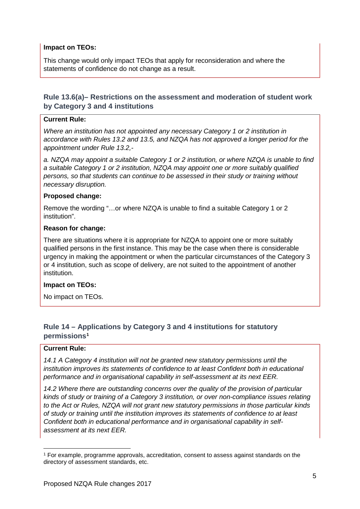### **Impact on TEOs:**

This change would only impact TEOs that apply for reconsideration and where the statements of confidence do not change as a result.

# <span id="page-4-0"></span>**Rule 13.6(a)– Restrictions on the assessment and moderation of student work by Category 3 and 4 institutions**

### **Current Rule:**

*Where an institution has not appointed any necessary Category 1 or 2 institution in accordance with Rules 13.2 and 13.5, and NZQA has not approved a longer period for the appointment under Rule 13.2,-*

*a. NZQA may appoint a suitable Category 1 or 2 institution, or where NZQA is unable to find a suitable Category 1 or 2 institution, NZQA may appoint one or more suitably qualified persons, so that students can continue to be assessed in their study or training without necessary disruption.* 

### **Proposed change:**

Remove the wording "…or where NZQA is unable to find a suitable Category 1 or 2 institution".

### **Reason for change:**

There are situations where it is appropriate for NZQA to appoint one or more suitably qualified persons in the first instance. This may be the case when there is considerable urgency in making the appointment or when the particular circumstances of the Category 3 or 4 institution, such as scope of delivery, are not suited to the appointment of another institution.

### **Impact on TEOs:**

No impact on TEOs.

# <span id="page-4-1"></span>**Rule 14 – Applications by Category 3 and 4 institutions for statutory permissions[1](#page-4-2)**

### **Current Rule:**

*14.1 A Category 4 institution will not be granted new statutory permissions until the institution improves its statements of confidence to at least Confident both in educational performance and in organisational capability in self-assessment at its next EER.*

*14.2 Where there are outstanding concerns over the quality of the provision of particular kinds of study or training of a Category 3 institution, or over non-compliance issues relating to the Act or Rules, NZQA will not grant new statutory permissions in those particular kinds of study or training until the institution improves its statements of confidence to at least Confident both in educational performance and in organisational capability in selfassessment at its next EER.* 

<span id="page-4-2"></span> <sup>1</sup> For example, programme approvals, accreditation, consent to assess against standards on the directory of assessment standards, etc.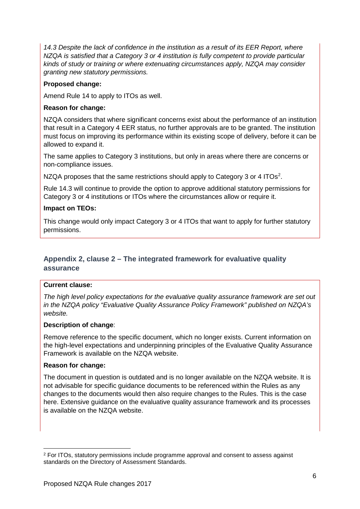*14.3 Despite the lack of confidence in the institution as a result of its EER Report, where NZQA is satisfied that a Category 3 or 4 institution is fully competent to provide particular kinds of study or training or where extenuating circumstances apply, NZQA may consider granting new statutory permissions.* 

### **Proposed change:**

Amend Rule 14 to apply to ITOs as well.

### **Reason for change:**

NZQA considers that where significant concerns exist about the performance of an institution that result in a Category 4 EER status, no further approvals are to be granted. The institution must focus on improving its performance within its existing scope of delivery, before it can be allowed to expand it.

The same applies to Category 3 institutions, but only in areas where there are concerns or non-compliance issues.

NZQA proposes that the same restrictions should apply to Category 3 or 4 ITOs<sup>[2](#page-5-1)</sup>.

Rule 14.3 will continue to provide the option to approve additional statutory permissions for Category 3 or 4 institutions or ITOs where the circumstances allow or require it.

### **Impact on TEOs:**

This change would only impact Category 3 or 4 ITOs that want to apply for further statutory permissions.

# <span id="page-5-0"></span>**Appendix 2, clause 2 – The integrated framework for evaluative quality assurance**

### **Current clause:**

*The high level policy expectations for the evaluative quality assurance framework are set out in the NZQA policy "Evaluative Quality Assurance Policy Framework" published on NZQA's website.* 

### **Description of change**:

Remove reference to the specific document, which no longer exists. Current information on the high-level expectations and underpinning principles of the Evaluative Quality Assurance Framework is available on the NZQA website.

### **Reason for change:**

The document in question is outdated and is no longer available on the NZQA website. It is not advisable for specific guidance documents to be referenced within the Rules as any changes to the documents would then also require changes to the Rules. This is the case here. Extensive guidance on the evaluative quality assurance framework and its processes is available on the NZQA website.

<span id="page-5-1"></span> <sup>2</sup> For ITOs, statutory permissions include programme approval and consent to assess against standards on the Directory of Assessment Standards.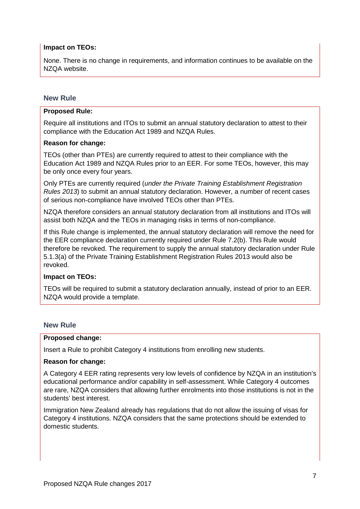### **Impact on TEOs:**

None. There is no change in requirements, and information continues to be available on the NZQA website.

### <span id="page-6-0"></span>**New Rule**

### **Proposed Rule:**

Require all institutions and ITOs to submit an annual statutory declaration to attest to their compliance with the Education Act 1989 and NZQA Rules.

### **Reason for change:**

TEOs (other than PTEs) are currently required to attest to their compliance with the Education Act 1989 and NZQA Rules prior to an EER. For some TEOs, however, this may be only once every four years.

Only PTEs are currently required (*under the Private Training Establishment Registration Rules 2013*) to submit an annual statutory declaration. However, a number of recent cases of serious non-compliance have involved TEOs other than PTEs.

NZQA therefore considers an annual statutory declaration from all institutions and ITOs will assist both NZQA and the TEOs in managing risks in terms of non-compliance.

If this Rule change is implemented, the annual statutory declaration will remove the need for the EER compliance declaration currently required under Rule 7.2(b). This Rule would therefore be revoked. The requirement to supply the annual statutory declaration under Rule 5.1.3(a) of the Private Training Establishment Registration Rules 2013 would also be revoked.

### **Impact on TEOs:**

TEOs will be required to submit a statutory declaration annually, instead of prior to an EER. NZQA would provide a template.

### <span id="page-6-1"></span>**New Rule**

### **Proposed change:**

Insert a Rule to prohibit Category 4 institutions from enrolling new students.

#### **Reason for change:**

A Category 4 EER rating represents very low levels of confidence by NZQA in an institution's educational performance and/or capability in self-assessment. While Category 4 outcomes are rare, NZQA considers that allowing further enrolments into those institutions is not in the students' best interest.

Immigration New Zealand already has regulations that do not allow the issuing of visas for Category 4 institutions. NZQA considers that the same protections should be extended to domestic students.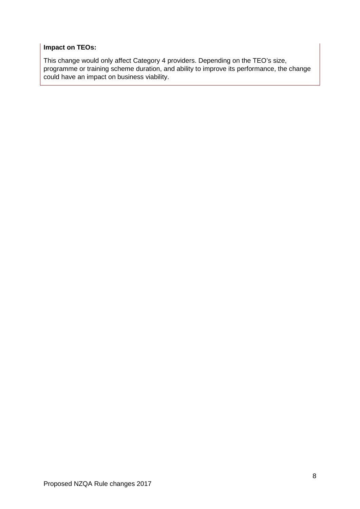# **Impact on TEOs:**

This change would only affect Category 4 providers. Depending on the TEO's size, programme or training scheme duration, and ability to improve its performance, the change could have an impact on business viability.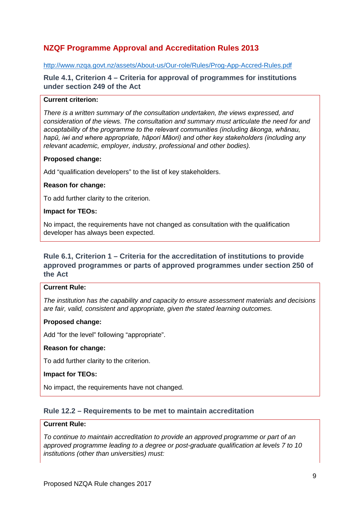# <span id="page-8-0"></span>**NZQF Programme Approval and Accreditation Rules 2013**

### <http://www.nzqa.govt.nz/assets/About-us/Our-role/Rules/Prog-App-Accred-Rules.pdf>

<span id="page-8-1"></span>**Rule 4.1, Criterion 4 – Criteria for approval of programmes for institutions under section 249 of the Act** 

### **Current criterion:**

*There is a written summary of the consultation undertaken, the views expressed, and consideration of the views. The consultation and summary must articulate the need for and acceptability of the programme to the relevant communities (including ākonga, whānau, hapū, iwi and where appropriate, hāpori Māori) and other key stakeholders (including any relevant academic, employer, industry, professional and other bodies).*

### **Proposed change:**

Add "qualification developers" to the list of key stakeholders.

### **Reason for change:**

To add further clarity to the criterion.

### **Impact for TEOs:**

No impact, the requirements have not changed as consultation with the qualification developer has always been expected.

# <span id="page-8-2"></span>**Rule 6.1, Criterion 1 – Criteria for the accreditation of institutions to provide approved programmes or parts of approved programmes under section 250 of the Act**

#### **Current Rule:**

*The institution has the capability and capacity to ensure assessment materials and decisions are fair, valid, consistent and appropriate, given the stated learning outcomes.* 

### **Proposed change:**

Add "for the level" following "appropriate".

### **Reason for change:**

To add further clarity to the criterion.

#### **Impact for TEOs:**

No impact, the requirements have not changed.

### <span id="page-8-3"></span>**Rule 12.2 – Requirements to be met to maintain accreditation**

### **Current Rule:**

*To continue to maintain accreditation to provide an approved programme or part of an approved programme leading to a degree or post-graduate qualification at levels 7 to 10 institutions (other than universities) must:*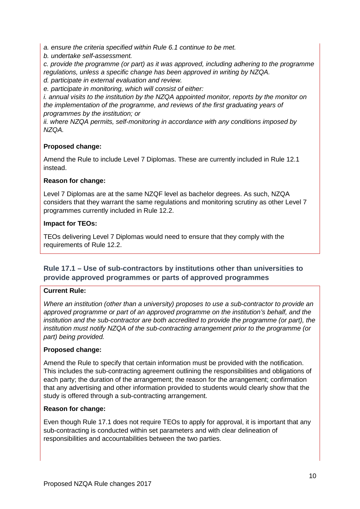*a. ensure the criteria specified within Rule 6.1 continue to be met.* 

*b. undertake self-assessment.* 

*c. provide the programme (or part) as it was approved, including adhering to the programme regulations, unless a specific change has been approved in writing by NZQA.* 

*d. participate in external evaluation and review. e. participate in monitoring, which will consist of either:* 

*i. annual visits to the institution by the NZQA appointed monitor, reports by the monitor on the implementation of the programme, and reviews of the first graduating years of programmes by the institution; or* 

*ii. where NZQA permits, self-monitoring in accordance with any conditions imposed by NZQA.* 

# **Proposed change:**

Amend the Rule to include Level 7 Diplomas. These are currently included in Rule 12.1 instead.

# **Reason for change:**

Level 7 Diplomas are at the same NZQF level as bachelor degrees. As such, NZQA considers that they warrant the same regulations and monitoring scrutiny as other Level 7 programmes currently included in Rule 12.2.

# **Impact for TEOs:**

TEOs delivering Level 7 Diplomas would need to ensure that they comply with the requirements of Rule 12.2.

# <span id="page-9-0"></span>**Rule 17.1 – Use of sub-contractors by institutions other than universities to provide approved programmes or parts of approved programmes**

# **Current Rule:**

*Where an institution (other than a university) proposes to use a sub-contractor to provide an approved programme or part of an approved programme on the institution's behalf, and the institution and the sub-contractor are both accredited to provide the programme (or part), the institution must notify NZQA of the sub-contracting arrangement prior to the programme (or part) being provided.* 

# **Proposed change:**

Amend the Rule to specify that certain information must be provided with the notification. This includes the sub-contracting agreement outlining the responsibilities and obligations of each party; the duration of the arrangement; the reason for the arrangement; confirmation that any advertising and other information provided to students would clearly show that the study is offered through a sub-contracting arrangement.

# **Reason for change:**

Even though Rule 17.1 does not require TEOs to apply for approval, it is important that any sub-contracting is conducted within set parameters and with clear delineation of responsibilities and accountabilities between the two parties.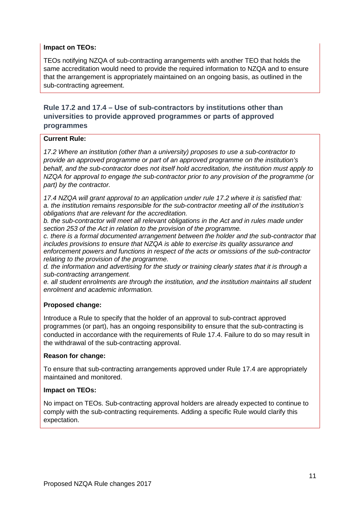# **Impact on TEOs:**

TEOs notifying NZQA of sub-contracting arrangements with another TEO that holds the same accreditation would need to provide the required information to NZQA and to ensure that the arrangement is appropriately maintained on an ongoing basis, as outlined in the sub-contracting agreement.

# <span id="page-10-0"></span>**Rule 17.2 and 17.4 – Use of sub-contractors by institutions other than universities to provide approved programmes or parts of approved programmes**

### **Current Rule:**

*17.2 Where an institution (other than a university) proposes to use a sub-contractor to provide an approved programme or part of an approved programme on the institution's behalf, and the sub-contractor does not itself hold accreditation, the institution must apply to NZQA for approval to engage the sub-contractor prior to any provision of the programme (or part) by the contractor.*

*17.4 NZQA will grant approval to an application under rule 17.2 where it is satisfied that: a. the institution remains responsible for the sub-contractor meeting all of the institution's obligations that are relevant for the accreditation.*

*b. the sub-contractor will meet all relevant obligations in the Act and in rules made under section 253 of the Act in relation to the provision of the programme.* 

*c. there is a formal documented arrangement between the holder and the sub-contractor that includes provisions to ensure that NZQA is able to exercise its quality assurance and enforcement powers and functions in respect of the acts or omissions of the sub-contractor relating to the provision of the programme.* 

*d. the information and advertising for the study or training clearly states that it is through a sub-contracting arrangement.* 

*e. all student enrolments are through the institution, and the institution maintains all student enrolment and academic information.* 

# **Proposed change:**

Introduce a Rule to specify that the holder of an approval to sub-contract approved programmes (or part), has an ongoing responsibility to ensure that the sub-contracting is conducted in accordance with the requirements of Rule 17.4. Failure to do so may result in the withdrawal of the sub-contracting approval.

### **Reason for change:**

To ensure that sub-contracting arrangements approved under Rule 17.4 are appropriately maintained and monitored.

### **Impact on TEOs:**

No impact on TEOs. Sub-contracting approval holders are already expected to continue to comply with the sub-contracting requirements. Adding a specific Rule would clarify this expectation.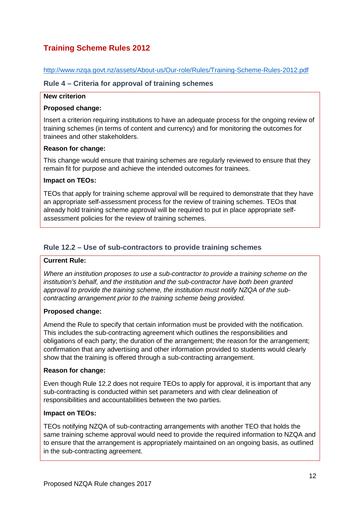# <span id="page-11-0"></span>**Training Scheme Rules 2012**

<http://www.nzqa.govt.nz/assets/About-us/Our-role/Rules/Training-Scheme-Rules-2012.pdf>

### <span id="page-11-1"></span>**Rule 4 – Criteria for approval of training schemes**

### **New criterion**

### **Proposed change:**

Insert a criterion requiring institutions to have an adequate process for the ongoing review of training schemes (in terms of content and currency) and for monitoring the outcomes for trainees and other stakeholders.

### **Reason for change:**

This change would ensure that training schemes are regularly reviewed to ensure that they remain fit for purpose and achieve the intended outcomes for trainees.

### **Impact on TEOs:**

TEOs that apply for training scheme approval will be required to demonstrate that they have an appropriate self-assessment process for the review of training schemes. TEOs that already hold training scheme approval will be required to put in place appropriate selfassessment policies for the review of training schemes.

# <span id="page-11-2"></span>**Rule 12.2 – Use of sub-contractors to provide training schemes**

### **Current Rule:**

*Where an institution proposes to use a sub-contractor to provide a training scheme on the institution's behalf, and the institution and the sub-contractor have both been granted approval to provide the training scheme, the institution must notify NZQA of the subcontracting arrangement prior to the training scheme being provided.* 

### **Proposed change:**

Amend the Rule to specify that certain information must be provided with the notification. This includes the sub-contracting agreement which outlines the responsibilities and obligations of each party; the duration of the arrangement; the reason for the arrangement; confirmation that any advertising and other information provided to students would clearly show that the training is offered through a sub-contracting arrangement.

### **Reason for change:**

Even though Rule 12.2 does not require TEOs to apply for approval, it is important that any sub-contracting is conducted within set parameters and with clear delineation of responsibilities and accountabilities between the two parties.

### **Impact on TEOs:**

TEOs notifying NZQA of sub-contracting arrangements with another TEO that holds the same training scheme approval would need to provide the required information to NZQA and to ensure that the arrangement is appropriately maintained on an ongoing basis, as outlined in the sub-contracting agreement.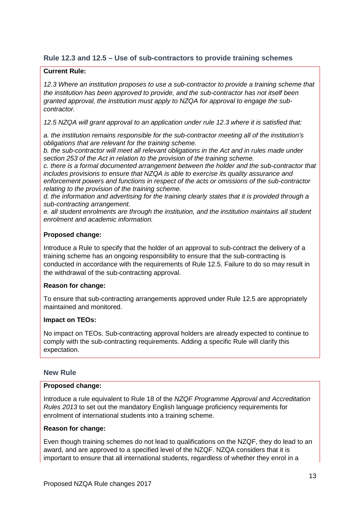# <span id="page-12-0"></span>**Rule 12.3 and 12.5 – Use of sub-contractors to provide training schemes**

### **Current Rule:**

*12.3 Where an institution proposes to use a sub-contractor to provide a training scheme that the institution has been approved to provide, and the sub-contractor has not itself been granted approval, the institution must apply to NZQA for approval to engage the subcontractor.* 

*12.5 NZQA will grant approval to an application under rule 12.3 where it is satisfied that:*

*a. the institution remains responsible for the sub-contractor meeting all of the institution's obligations that are relevant for the training scheme.*

*b. the sub-contractor will meet all relevant obligations in the Act and in rules made under section 253 of the Act in relation to the provision of the training scheme.*

*c. there is a formal documented arrangement between the holder and the sub-contractor that includes provisions to ensure that NZQA is able to exercise its quality assurance and enforcement powers and functions in respect of the acts or omissions of the sub-contractor relating to the provision of the training scheme.*

*d. the information and advertising for the training clearly states that it is provided through a sub-contracting arrangement.*

*e. all student enrolments are through the institution, and the institution maintains all student enrolment and academic information.* 

### **Proposed change:**

Introduce a Rule to specify that the holder of an approval to sub-contract the delivery of a training scheme has an ongoing responsibility to ensure that the sub-contracting is conducted in accordance with the requirements of Rule 12.5. Failure to do so may result in the withdrawal of the sub-contracting approval.

### **Reason for change:**

To ensure that sub-contracting arrangements approved under Rule 12.5 are appropriately maintained and monitored.

### **Impact on TEOs:**

No impact on TEOs. Sub-contracting approval holders are already expected to continue to comply with the sub-contracting requirements. Adding a specific Rule will clarify this expectation.

# <span id="page-12-1"></span>**New Rule**

### **Proposed change:**

Introduce a rule equivalent to Rule 18 of the *NZQF Programme Approval and Accreditation Rules 2013* to set out the mandatory English language proficiency requirements for enrolment of international students into a training scheme.

### **Reason for change:**

Even though training schemes do not lead to qualifications on the NZQF, they do lead to an award, and are approved to a specified level of the NZQF. NZQA considers that it is important to ensure that all international students, regardless of whether they enrol in a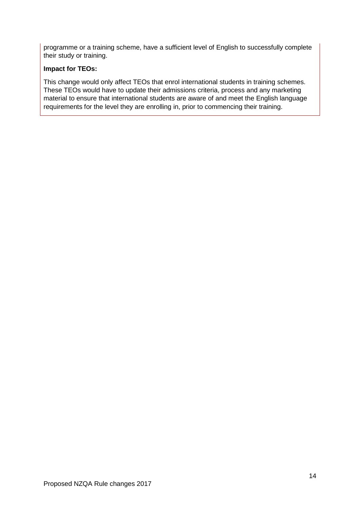programme or a training scheme, have a sufficient level of English to successfully complete their study or training.

### **Impact for TEOs:**

This change would only affect TEOs that enrol international students in training schemes. These TEOs would have to update their admissions criteria, process and any marketing material to ensure that international students are aware of and meet the English language requirements for the level they are enrolling in, prior to commencing their training.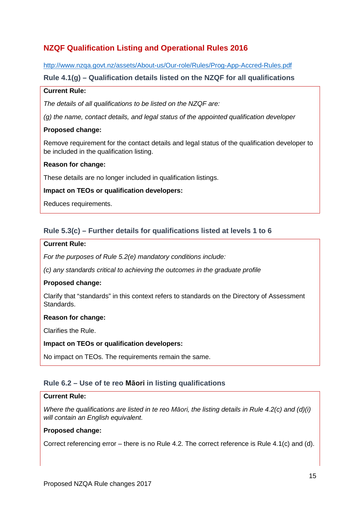# <span id="page-14-0"></span>**NZQF Qualification Listing and Operational Rules 2016**

<http://www.nzqa.govt.nz/assets/About-us/Our-role/Rules/Prog-App-Accred-Rules.pdf>

### <span id="page-14-1"></span>**Rule 4.1(g) – Qualification details listed on the NZQF for all qualifications**

### **Current Rule:**

*The details of all qualifications to be listed on the NZQF are:*

*(g) the name, contact details, and legal status of the appointed qualification developer*

### **Proposed change:**

Remove requirement for the contact details and legal status of the qualification developer to be included in the qualification listing.

### **Reason for change:**

These details are no longer included in qualification listings.

### **Impact on TEOs or qualification developers:**

Reduces requirements.

# <span id="page-14-2"></span>**Rule 5.3(c) – Further details for qualifications listed at levels 1 to 6**

### **Current Rule:**

*For the purposes of Rule 5.2(e) mandatory conditions include:*

*(c) any standards critical to achieving the outcomes in the graduate profile*

### **Proposed change:**

Clarify that "standards" in this context refers to standards on the Directory of Assessment Standards.

### **Reason for change:**

Clarifies the Rule.

**Impact on TEOs or qualification developers:**

No impact on TEOs. The requirements remain the same.

# <span id="page-14-3"></span>**Rule 6.2 – Use of te reo Māori in listing qualifications**

### **Current Rule:**

*Where the qualifications are listed in te reo Māori, the listing details in Rule 4.2(c) and (d)(i) will contain an English equivalent.* 

### **Proposed change:**

Correct referencing error – there is no Rule 4.2. The correct reference is Rule 4.1(c) and (d).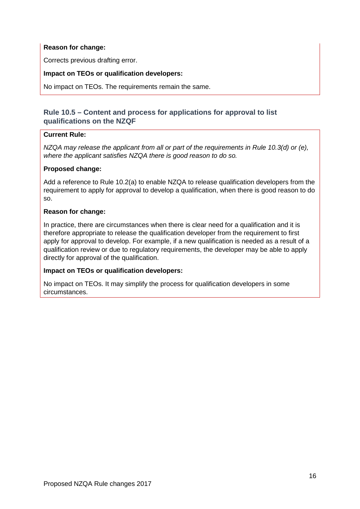# **Reason for change:**

Corrects previous drafting error.

### **Impact on TEOs or qualification developers:**

No impact on TEOs. The requirements remain the same.

# <span id="page-15-0"></span>**Rule 10.5 – Content and process for applications for approval to list qualifications on the NZQF**

### **Current Rule:**

*NZQA may release the applicant from all or part of the requirements in Rule 10.3(d) or (e), where the applicant satisfies NZQA there is good reason to do so.* 

### **Proposed change:**

Add a reference to Rule 10.2(a) to enable NZQA to release qualification developers from the requirement to apply for approval to develop a qualification, when there is good reason to do so.

### **Reason for change:**

In practice, there are circumstances when there is clear need for a qualification and it is therefore appropriate to release the qualification developer from the requirement to first apply for approval to develop. For example, if a new qualification is needed as a result of a qualification review or due to regulatory requirements, the developer may be able to apply directly for approval of the qualification.

# **Impact on TEOs or qualification developers:**

No impact on TEOs. It may simplify the process for qualification developers in some circumstances.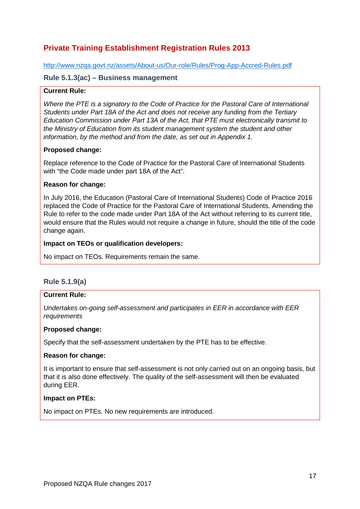# <span id="page-16-0"></span>**Private Training Establishment Registration Rules 2013**

<http://www.nzqa.govt.nz/assets/About-us/Our-role/Rules/Prog-App-Accred-Rules.pdf>

### <span id="page-16-1"></span>**Rule 5.1.3(ac) – Business management**

### **Current Rule:**

*Where the PTE is a signatory to the Code of Practice for the Pastoral Care of International Students under Part 18A of the Act and does not receive any funding from the Tertiary Education Commission under Part 13A of the Act, that PTE must electronically transmit to the Ministry of Education from its student management system the student and other information, by the method and from the date, as set out in Appendix 1.*

### **Proposed change:**

Replace reference to the Code of Practice for the Pastoral Care of International Students with "the Code made under part 18A of the Act".

### **Reason for change:**

In July 2016, the Education (Pastoral Care of International Students) Code of Practice 2016 replaced the Code of Practice for the Pastoral Care of International Students. Amending the Rule to refer to the code made under Part 18A of the Act without referring to its current title, would ensure that the Rules would not require a change in future, should the title of the code change again.

### **Impact on TEOs or qualification developers:**

No impact on TEOs. Requirements remain the same.

# <span id="page-16-2"></span>**Rule 5.1.9(a)**

### **Current Rule:**

*Undertakes on-going self-assessment and participates in EER in accordance with EER requirements*

### **Proposed change:**

Specify that the self-assessment undertaken by the PTE has to be effective.

### **Reason for change:**

It is important to ensure that self-assessment is not only carried out on an ongoing basis, but that it is also done effectively. The quality of the self-assessment will then be evaluated during EER.

### **Impact on PTEs:**

No impact on PTEs. No new requirements are introduced.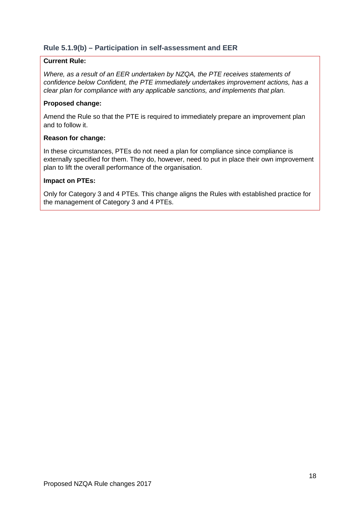# <span id="page-17-0"></span>**Rule 5.1.9(b) – Participation in self-assessment and EER**

### **Current Rule:**

*Where, as a result of an EER undertaken by NZQA, the PTE receives statements of confidence below Confident, the PTE immediately undertakes improvement actions, has a clear plan for compliance with any applicable sanctions, and implements that plan.* 

### **Proposed change:**

Amend the Rule so that the PTE is required to immediately prepare an improvement plan and to follow it.

### **Reason for change:**

In these circumstances, PTEs do not need a plan for compliance since compliance is externally specified for them. They do, however, need to put in place their own improvement plan to lift the overall performance of the organisation.

### **Impact on PTEs:**

Only for Category 3 and 4 PTEs. This change aligns the Rules with established practice for the management of Category 3 and 4 PTEs.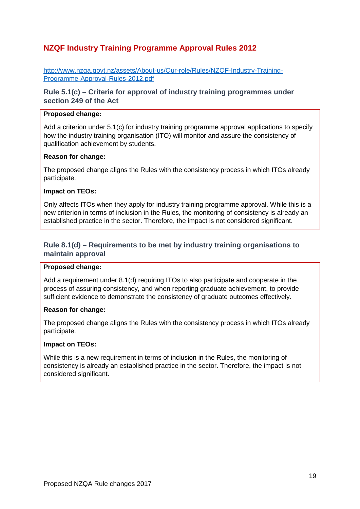# <span id="page-18-0"></span>**NZQF Industry Training Programme Approval Rules 2012**

[http://www.nzqa.govt.nz/assets/About-us/Our-role/Rules/NZQF-Industry-Training-](http://www.nzqa.govt.nz/assets/About-us/Our-role/Rules/NZQF-Industry-Training-Programme-Approval-Rules-2012.pdf)[Programme-Approval-Rules-2012.pdf](http://www.nzqa.govt.nz/assets/About-us/Our-role/Rules/NZQF-Industry-Training-Programme-Approval-Rules-2012.pdf)

# <span id="page-18-1"></span>**Rule 5.1(c) – Criteria for approval of industry training programmes under section 249 of the Act**

#### **Proposed change:**

Add a criterion under 5.1(c) for industry training programme approval applications to specify how the industry training organisation (ITO) will monitor and assure the consistency of qualification achievement by students.

### **Reason for change:**

The proposed change aligns the Rules with the consistency process in which ITOs already participate.

### **Impact on TEOs:**

Only affects ITOs when they apply for industry training programme approval. While this is a new criterion in terms of inclusion in the Rules, the monitoring of consistency is already an established practice in the sector. Therefore, the impact is not considered significant.

# <span id="page-18-2"></span>**Rule 8.1(d) – Requirements to be met by industry training organisations to maintain approval**

#### **Proposed change:**

Add a requirement under 8.1(d) requiring ITOs to also participate and cooperate in the process of assuring consistency, and when reporting graduate achievement, to provide sufficient evidence to demonstrate the consistency of graduate outcomes effectively.

#### **Reason for change:**

The proposed change aligns the Rules with the consistency process in which ITOs already participate.

#### **Impact on TEOs:**

While this is a new requirement in terms of inclusion in the Rules, the monitoring of consistency is already an established practice in the sector. Therefore, the impact is not considered significant.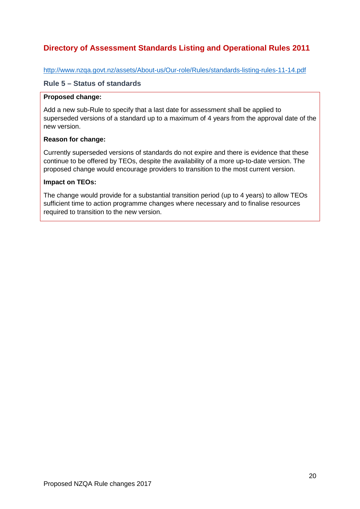# <span id="page-19-0"></span>**Directory of Assessment Standards Listing and Operational Rules 2011**

<http://www.nzqa.govt.nz/assets/About-us/Our-role/Rules/standards-listing-rules-11-14.pdf>

### <span id="page-19-1"></span>**Rule 5 – Status of standards**

### **Proposed change:**

Add a new sub-Rule to specify that a last date for assessment shall be applied to superseded versions of a standard up to a maximum of 4 years from the approval date of the new version.

### **Reason for change:**

Currently superseded versions of standards do not expire and there is evidence that these continue to be offered by TEOs, despite the availability of a more up-to-date version. The proposed change would encourage providers to transition to the most current version.

### **Impact on TEOs:**

The change would provide for a substantial transition period (up to 4 years) to allow TEOs sufficient time to action programme changes where necessary and to finalise resources required to transition to the new version.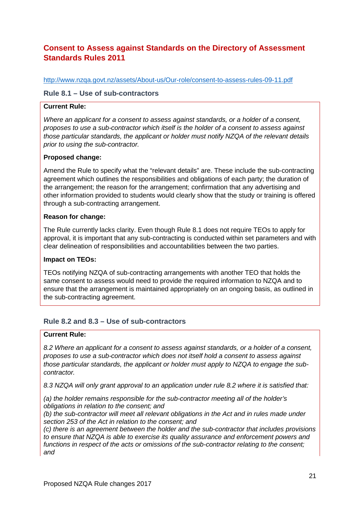# <span id="page-20-0"></span>**Consent to Assess against Standards on the Directory of Assessment Standards Rules 2011**

<http://www.nzqa.govt.nz/assets/About-us/Our-role/consent-to-assess-rules-09-11.pdf>

### <span id="page-20-1"></span>**Rule 8.1 – Use of sub-contractors**

### **Current Rule:**

*Where an applicant for a consent to assess against standards, or a holder of a consent, proposes to use a sub-contractor which itself is the holder of a consent to assess against those particular standards, the applicant or holder must notify NZQA of the relevant details prior to using the sub-contractor.*

### **Proposed change:**

Amend the Rule to specify what the "relevant details" are. These include the sub-contracting agreement which outlines the responsibilities and obligations of each party; the duration of the arrangement; the reason for the arrangement; confirmation that any advertising and other information provided to students would clearly show that the study or training is offered through a sub-contracting arrangement.

### **Reason for change:**

The Rule currently lacks clarity. Even though Rule 8.1 does not require TEOs to apply for approval, it is important that any sub-contracting is conducted within set parameters and with clear delineation of responsibilities and accountabilities between the two parties.

### **Impact on TEOs:**

TEOs notifying NZQA of sub-contracting arrangements with another TEO that holds the same consent to assess would need to provide the required information to NZQA and to ensure that the arrangement is maintained appropriately on an ongoing basis, as outlined in the sub-contracting agreement.

# <span id="page-20-2"></span>**Rule 8.2 and 8.3 – Use of sub-contractors**

### **Current Rule:**

*8.2 Where an applicant for a consent to assess against standards, or a holder of a consent, proposes to use a sub-contractor which does not itself hold a consent to assess against those particular standards, the applicant or holder must apply to NZQA to engage the subcontractor.*

*8.3 NZQA will only grant approval to an application under rule 8.2 where it is satisfied that:*

*(a) the holder remains responsible for the sub-contractor meeting all of the holder's obligations in relation to the consent; and*

*(b) the sub-contractor will meet all relevant obligations in the Act and in rules made under section 253 of the Act in relation to the consent; and*

*(c) there is an agreement between the holder and the sub-contractor that includes provisions to ensure that NZQA is able to exercise its quality assurance and enforcement powers and functions in respect of the acts or omissions of the sub-contractor relating to the consent; and*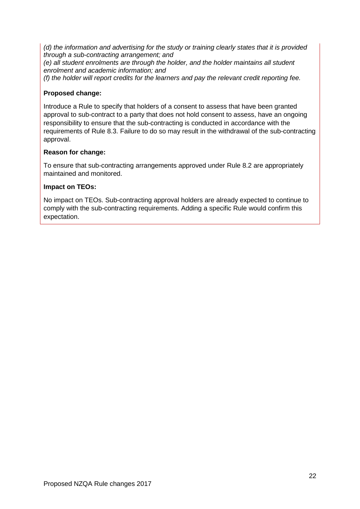*(d) the information and advertising for the study or training clearly states that it is provided through a sub-contracting arrangement; and*

*(e) all student enrolments are through the holder, and the holder maintains all student enrolment and academic information; and*

*(f) the holder will report credits for the learners and pay the relevant credit reporting fee.* 

### **Proposed change:**

Introduce a Rule to specify that holders of a consent to assess that have been granted approval to sub-contract to a party that does not hold consent to assess, have an ongoing responsibility to ensure that the sub-contracting is conducted in accordance with the requirements of Rule 8.3. Failure to do so may result in the withdrawal of the sub-contracting approval.

### **Reason for change:**

To ensure that sub-contracting arrangements approved under Rule 8.2 are appropriately maintained and monitored.

### **Impact on TEOs:**

No impact on TEOs. Sub-contracting approval holders are already expected to continue to comply with the sub-contracting requirements. Adding a specific Rule would confirm this expectation.